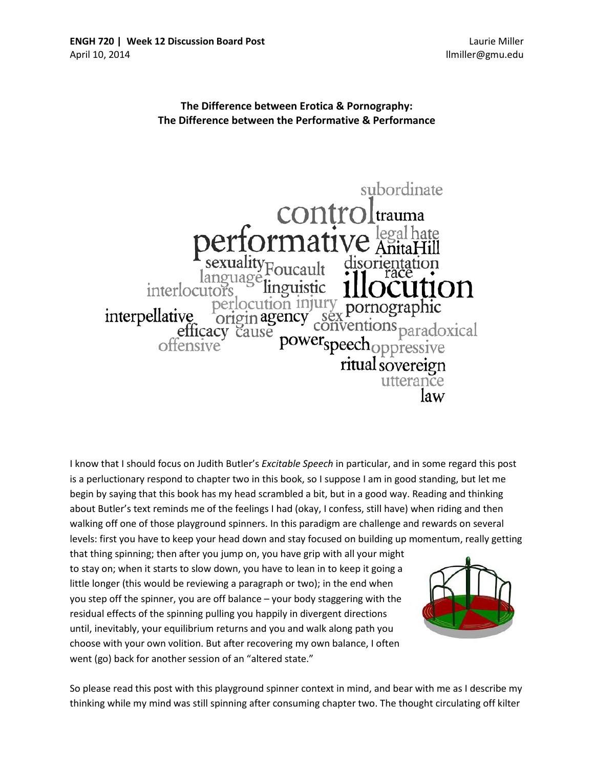Laurie Miller llmiller@gmu.edu

## **The Difference between Erotica & Pornography: The Difference between the Performative & Performance**



I know that I should focus on Judith Butler's *Excitable Speech* in particular, and in some regard this post is a perluctionary respond to chapter two in this book, so I suppose I am in good standing, but let me begin by saying that this book has my head scrambled a bit, but in a good way. Reading and thinking about Butler's text reminds me of the feelings I had (okay, I confess, still have) when riding and then walking off one of those playground spinners. In this paradigm are challenge and rewards on several levels: first you have to keep your head down and stay focused on building up momentum, really getting

that thing spinning; then after you jump on, you have grip with all your might to stay on; when it starts to slow down, you have to lean in to keep it going a little longer (this would be reviewing a paragraph or two); in the end when you step off the spinner, you are off balance – your body staggering with the residual effects of the spinning pulling you happily in divergent directions until, inevitably, your equilibrium returns and you and walk along path you choose with your own volition. But after recovering my own balance, I often went (go) back for another session of an "altered state."



So please read this post with this playground spinner context in mind, and bear with me as I describe my thinking while my mind was still spinning after consuming chapter two. The thought circulating off kilter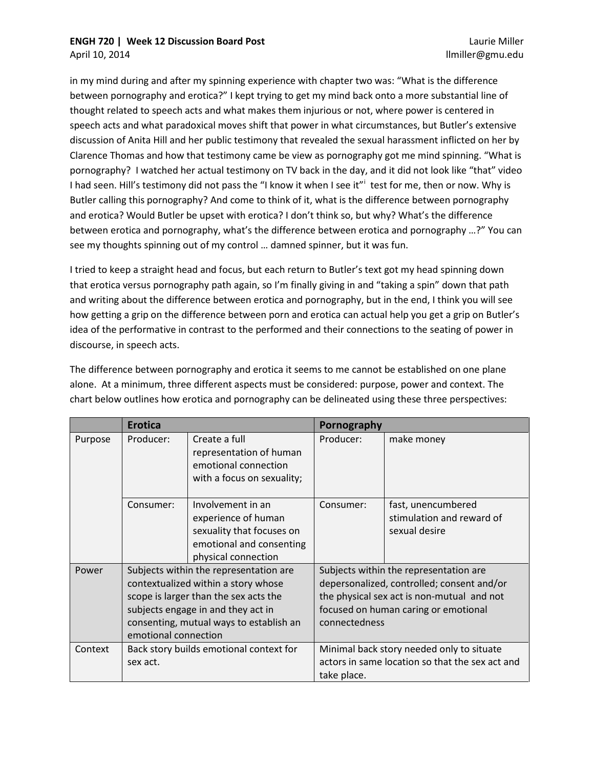## **ENGH 720 | Week 12 Discussion Board Post**

April 10, 2014

in my mind during and after my spinning experience with chapter two was: "What is the difference between pornography and erotica?" I kept trying to get my mind back onto a more substantial line of thought related to speech acts and what makes them injurious or not, where power is centered in speech acts and what paradoxical moves shift that power in what circumstances, but Butler's extensive discussion of Anita Hill and her public testimony that revealed the sexual harassment inflicted on her by Clarence Thomas and how that testimony came be view as pornography got me mind spinning. "What is pornography? I watched her actual testimony on TV back in the day, and it did not look like "that" video I had seen. H[i](#page-2-0)ll's testimony did not pass the "I know it when I see it" test for me, then or now. Why is Butler calling this pornography? And come to think of it, what is the difference between pornography and erotica? Would Butler be upset with erotica? I don't think so, but why? What's the difference between erotica and pornography, what's the difference between erotica and pornography …?" You can see my thoughts spinning out of my control … damned spinner, but it was fun.

I tried to keep a straight head and focus, but each return to Butler's text got my head spinning down that erotica versus pornography path again, so I'm finally giving in and "taking a spin" down that path and writing about the difference between erotica and pornography, but in the end, I think you will see how getting a grip on the difference between porn and erotica can actual help you get a grip on Butler's idea of the performative in contrast to the performed and their connections to the seating of power in discourse, in speech acts.

The difference between pornography and erotica it seems to me cannot be established on one plane alone. At a minimum, three different aspects must be considered: purpose, power and context. The chart below outlines how erotica and pornography can be delineated using these three perspectives:

|         | <b>Erotica</b>                                                                                                                                                                                                                  |                                                                                                                          | Pornography                                                                                                                                                                                 |                                                                  |
|---------|---------------------------------------------------------------------------------------------------------------------------------------------------------------------------------------------------------------------------------|--------------------------------------------------------------------------------------------------------------------------|---------------------------------------------------------------------------------------------------------------------------------------------------------------------------------------------|------------------------------------------------------------------|
| Purpose | Producer:                                                                                                                                                                                                                       | Create a full<br>representation of human<br>emotional connection<br>with a focus on sexuality;                           | Producer:                                                                                                                                                                                   | make money                                                       |
|         | Consumer:                                                                                                                                                                                                                       | Involvement in an<br>experience of human<br>sexuality that focuses on<br>emotional and consenting<br>physical connection | Consumer:                                                                                                                                                                                   | fast, unencumbered<br>stimulation and reward of<br>sexual desire |
| Power   | Subjects within the representation are<br>contextualized within a story whose<br>scope is larger than the sex acts the<br>subjects engage in and they act in<br>consenting, mutual ways to establish an<br>emotional connection |                                                                                                                          | Subjects within the representation are<br>depersonalized, controlled; consent and/or<br>the physical sex act is non-mutual and not<br>focused on human caring or emotional<br>connectedness |                                                                  |
| Context | Back story builds emotional context for<br>sex act.                                                                                                                                                                             |                                                                                                                          | Minimal back story needed only to situate<br>actors in same location so that the sex act and<br>take place.                                                                                 |                                                                  |